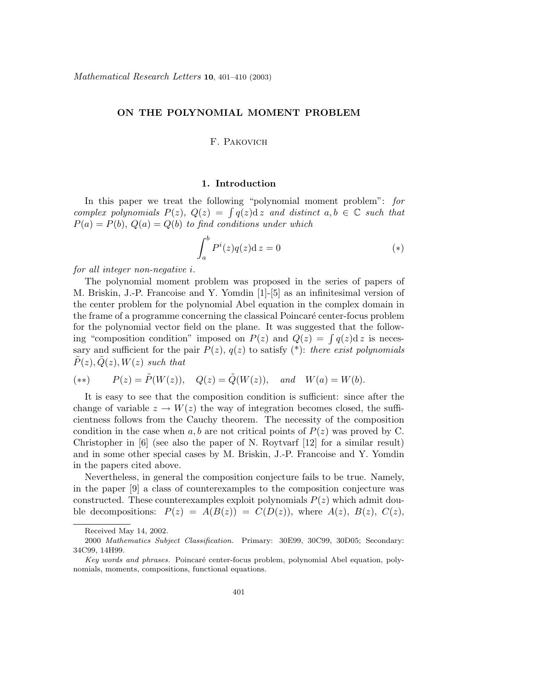## **ON THE POLYNOMIAL MOMENT PROBLEM**

# F. Pakovich

## **1. Introduction**

In this paper we treat the following "polynomial moment problem": for complex polynomials  $P(z)$ ,  $Q(z) = \int q(z)dz$  and distinct  $a, b \in \mathbb{C}$  such that  $P(a) = P(b)$ ,  $Q(a) = Q(b)$  to find conditions under which

$$
\int_{a}^{b} P^{i}(z)q(z)dz = 0
$$
 (\*)

for all integer non-negative *i.*

The polynomial moment problem was proposed in the series of papers of M. Briskin, J.-P. Francoise and Y. Yomdin [1]-[5] as an infinitesimal version of the center problem for the polynomial Abel equation in the complex domain in the frame of a programme concerning the classical Poincaré center-focus problem for the polynomial vector field on the plane. It was suggested that the following "composition condition" imposed on  $P(z)$  and  $Q(z) = \int q(z) dz$  is necessary and sufficient for the pair  $P(z)$ ,  $q(z)$  to satisfy  $(*)$ : there exist polynomials  $P(z)$ *,*  $Q(z)$ *, W*(*z*) such that

$$
(**) \qquad P(z) = \tilde{P}(W(z)), \quad Q(z) = \tilde{Q}(W(z)), \quad and \quad W(a) = W(b).
$$

It is easy to see that the composition condition is sufficient: since after the change of variable  $z \to W(z)$  the way of integration becomes closed, the sufficientness follows from the Cauchy theorem. The necessity of the composition condition in the case when  $a, b$  are not critical points of  $P(z)$  was proved by C. Christopher in  $[6]$  (see also the paper of N. Roytvarf  $[12]$  for a similar result) and in some other special cases by M. Briskin, J.-P. Francoise and Y. Yomdin in the papers cited above.

Nevertheless, in general the composition conjecture fails to be true. Namely, in the paper [9] a class of counterexamples to the composition conjecture was constructed. These counterexamples exploit polynomials  $P(z)$  which admit double decompositions:  $P(z) = A(B(z)) = C(D(z))$ , where  $A(z)$ ,  $B(z)$ ,  $C(z)$ ,

Received May 14, 2002.

<sup>2000</sup> *Mathematics Subject Classification.* Primary: 30E99, 30C99, 30D05; Secondary: 34C99, 14H99.

Key words and phrases. Poincaré center-focus problem, polynomial Abel equation, polynomials, moments, compositions, functional equations.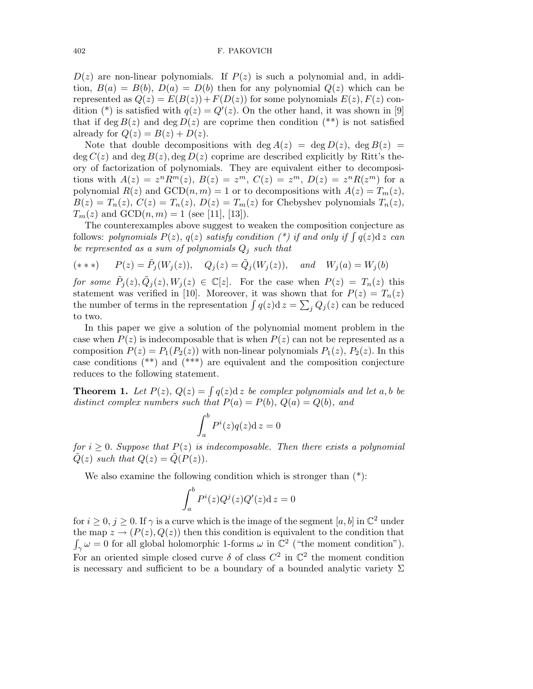$D(z)$  are non-linear polynomials. If  $P(z)$  is such a polynomial and, in addition,  $B(a) = B(b)$ ,  $D(a) = D(b)$  then for any polynomial  $Q(z)$  which can be represented as  $Q(z) = E(B(z)) + F(D(z))$  for some polynomials  $E(z)$ ,  $F(z)$  condition (\*) is satisfied with  $q(z) = Q'(z)$ . On the other hand, it was shown in [9] that if deg  $B(z)$  and deg  $D(z)$  are coprime then condition (\*\*) is not satisfied already for  $Q(z) = B(z) + D(z)$ .

Note that double decompositions with deg  $A(z) = \deg D(z)$ , deg  $B(z) =$ deg  $C(z)$  and deg  $B(z)$ , deg  $D(z)$  coprime are described explicitly by Ritt's theory of factorization of polynomials. They are equivalent either to decompositions with  $A(z) = z^n R^m(z)$ ,  $B(z) = z^m$ ,  $C(z) = z^m$ ,  $D(z) = z^n R(z^m)$  for a polynomial  $R(z)$  and  $GCD(n, m) = 1$  or to decompositions with  $A(z) = T_m(z)$ ,  $B(z) = T_n(z), C(z) = T_n(z), D(z) = T_m(z)$  for Chebyshev polynomials  $T_n(z)$ ,  $T_m(z)$  and  $GCD(n, m) = 1$  (see [11], [13]).

The counterexamples above suggest to weaken the composition conjecture as follows: polynomials  $P(z)$ ,  $q(z)$  satisfy condition (\*) if and only if  $\int q(z)dz$  can be represented as a sum of polynomials  $Q_j$  such that

$$
(***) \qquad P(z) = \tilde{P}_j(W_j(z)), \quad Q_j(z) = \tilde{Q}_j(W_j(z)), \quad and \quad W_j(a) = W_j(b)
$$

for some  $\tilde{P}_j(z), \tilde{Q}_j(z), W_j(z) \in \mathbb{C}[z]$ . For the case when  $P(z) = T_n(z)$  this statement was verified in [10]. Moreover, it was shown that for  $P(z) = T_n(z)$ the number of terms in the representation  $\int q(z)dz = \sum_j Q_j(z)$  can be reduced to two.

In this paper we give a solution of the polynomial moment problem in the case when  $P(z)$  is indecomposable that is when  $P(z)$  can not be represented as a composition  $P(z) = P_1(P_2(z))$  with non-linear polynomials  $P_1(z)$ ,  $P_2(z)$ . In this case conditions (\*\*) and (\*\*\*) are equivalent and the composition conjecture reduces to the following statement.

**Theorem 1.** Let  $P(z)$ ,  $Q(z) = \int q(z)dz$  be complex polynomials and let a, b be distinct complex numbers such that  $P(a) = P(b)$ ,  $Q(a) = Q(b)$ , and

$$
\int_a^b P^i(z)q(z)dz = 0
$$

for  $i \geq 0$ . Suppose that  $P(z)$  is indecomposable. Then there exists a polynomial  $\tilde{Q}(z)$  such that  $Q(z) = \tilde{Q}(P(z)).$ 

We also examine the following condition which is stronger than (\*):

$$
\int_a^b P^i(z)Q^j(z)Q'(z)dz = 0
$$

for  $i \geq 0$ ,  $j \geq 0$ . If  $\gamma$  is a curve which is the image of the segment [a, b] in  $\mathbb{C}^2$  under the map  $z \to (P(z), Q(z))$  then this condition is equivalent to the condition that  $\int_{\gamma} \omega = 0$  for all global holomorphic 1-forms  $\omega$  in  $\mathbb{C}^2$  ("the moment condition"). For an oriented simple closed curve  $\delta$  of class  $C^2$  in  $\mathbb{C}^2$  the moment condition is necessary and sufficient to be a boundary of a bounded analytic variety  $\Sigma$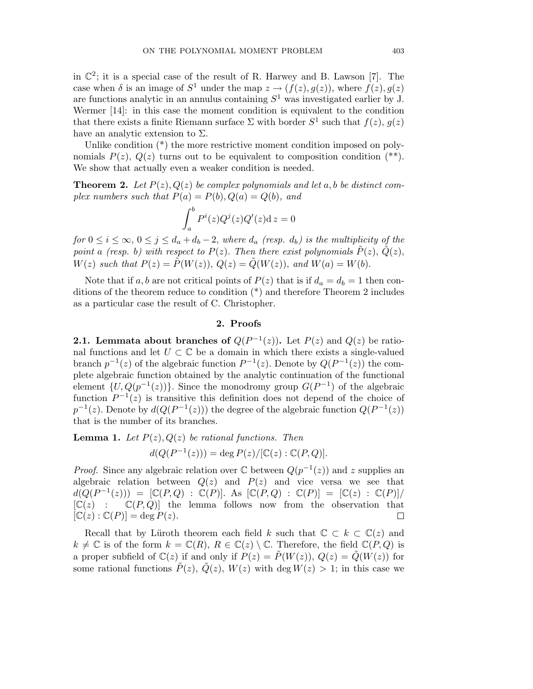in  $\mathbb{C}^2$ ; it is a special case of the result of R. Harwey and B. Lawson [7]. The case when  $\delta$  is an image of  $S^1$  under the map  $z \to (f(z), g(z))$ , where  $f(z), g(z)$ are functions analytic in an annulus containing  $S^1$  was investigated earlier by J. Wermer [14]: in this case the moment condition is equivalent to the condition that there exists a finite Riemann surface  $\Sigma$  with border  $S^1$  such that  $f(z)$ *,*  $g(z)$ have an analytic extension to Σ*.*

Unlike condition  $(*)$  the more restrictive moment condition imposed on polynomials  $P(z)$ ,  $Q(z)$  turns out to be equivalent to composition condition  $(*^*)$ . We show that actually even a weaker condition is needed.

**Theorem 2.** Let  $P(z)$ ,  $Q(z)$  be complex polynomials and let a, b be distinct complex numbers such that  $P(a) = P(b), Q(a) = Q(b),$  and

$$
\int_a^b P^i(z)Q^j(z)Q'(z)dz = 0
$$

for  $0 \le i \le \infty$ ,  $0 \le j \le d_a + d_b - 2$ , where  $d_a$  (resp.  $d_b$ ) is the multiplicity of the point *a* (resp. *b*) with respect to  $P(z)$ . Then there exist polynomials  $\tilde{P}(z)$ ,  $\tilde{Q}(z)$ , *W*(*z*) such that  $P(z) = \tilde{P}(W(z)), Q(z) = \tilde{Q}(W(z)),$  and  $W(a) = W(b).$ 

Note that if *a*, *b* are not critical points of  $P(z)$  that is if  $d_a = d_b = 1$  then conditions of the theorem reduce to condition (\*) and therefore Theorem 2 includes as a particular case the result of C. Christopher.

## **2. Proofs**

**2.1. Lemmata about branches of**  $Q(P^{-1}(z))$ . Let  $P(z)$  and  $Q(z)$  be rational functions and let  $U \subset \mathbb{C}$  be a domain in which there exists a single-valued branch  $p^{-1}(z)$  of the algebraic function  $P^{-1}(z)$ . Denote by  $Q(P^{-1}(z))$  the complete algebraic function obtained by the analytic continuation of the functional element  $\{U, Q(p^{-1}(z))\}$ . Since the monodromy group  $G(P^{-1})$  of the algebraic function  $P^{-1}(z)$  is transitive this definition does not depend of the choice of  $p^{-1}(z)$ . Denote by  $d(Q(P^{-1}(z)))$  the degree of the algebraic function  $Q(P^{-1}(z))$ that is the number of its branches.

**Lemma 1.** Let  $P(z)$ ,  $Q(z)$  be rational functions. Then  $d(Q(P^{-1}(z))) = \deg P(z) / [\mathbb{C}(z) : \mathbb{C}(P,Q)].$ 

*Proof.* Since any algebraic relation over  $\mathbb{C}$  between  $Q(p^{-1}(z))$  and z supplies an algebraic relation between  $Q(z)$  and  $P(z)$  and vice versa we see that  $d(Q(P^{-1}(z))) = [\mathbb{C}(P,Q) : \mathbb{C}(P)]$ . As  $[\mathbb{C}(P,Q) : \mathbb{C}(P)] = [\mathbb{C}(z) : \mathbb{C}(P)]$ /  $[C(z) : C(P,Q)]$  the lemma follows now from the observation that  $[\mathbb{C}(z) : \mathbb{C}(P)] = \deg P(z).$  $\Box$ 

Recall that by Lüroth theorem each field *k* such that  $\mathbb{C} \subset k \subset \mathbb{C}(z)$  and  $k \neq \mathbb{C}$  is of the form  $k = \mathbb{C}(R)$ ,  $R \in \mathbb{C}(z) \setminus \mathbb{C}$ . Therefore, the field  $\mathbb{C}(P,Q)$  is a proper subfield of  $\mathbb{C}(z)$  if and only if  $P(z) = P(W(z))$ ,  $Q(z) = Q(W(z))$  for some rational functions  $\tilde{P}(z)$ ,  $\tilde{Q}(z)$ ,  $W(z)$  with deg  $W(z) > 1$ ; in this case we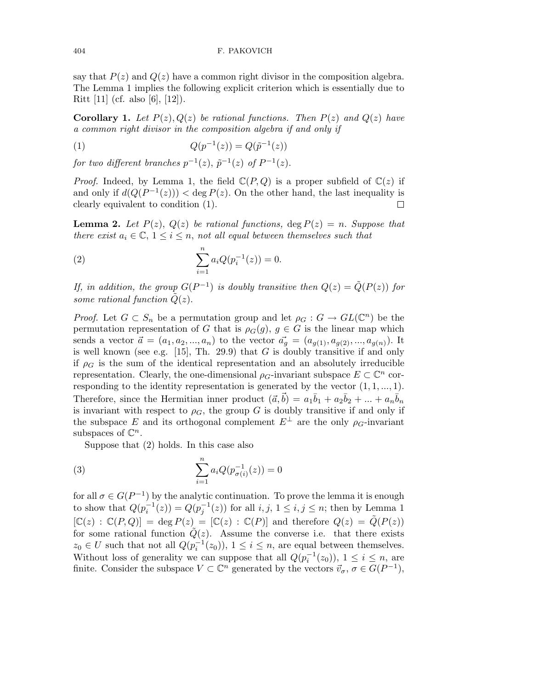say that  $P(z)$  and  $Q(z)$  have a common right divisor in the composition algebra. The Lemma 1 implies the following explicit criterion which is essentially due to Ritt [11] (cf. also [6], [12]).

**Corollary 1.** Let  $P(z)$ ,  $Q(z)$  be rational functions. Then  $P(z)$  and  $Q(z)$  have a common right divisor in the composition algebra if and only if

(1) 
$$
Q(p^{-1}(z)) = Q(\tilde{p}^{-1}(z))
$$

for two different branches  $p^{-1}(z)$ ,  $\tilde{p}^{-1}(z)$  of  $P^{-1}(z)$ .

*Proof.* Indeed, by Lemma 1, the field  $\mathbb{C}(P,Q)$  is a proper subfield of  $\mathbb{C}(z)$  if and only if  $d(Q(P^{-1}(z))) < \deg P(z)$ . On the other hand, the last inequality is clearly equivalent to condition (1).  $\Box$ 

**Lemma 2.** Let  $P(z)$ ,  $Q(z)$  be rational functions, deg  $P(z) = n$ . Suppose that there exist  $a_i \in \mathbb{C}, 1 \leq i \leq n$ , not all equal between themselves such that

(2) 
$$
\sum_{i=1}^{n} a_i Q(p_i^{-1}(z)) = 0.
$$

If, in addition, the group  $G(P^{-1})$  is doubly transitive then  $Q(z) = \tilde{Q}(P(z))$  for some rational function  $\tilde{Q}(z)$ .

*Proof.* Let  $G \subset S_n$  be a permutation group and let  $\rho_G : G \to GL(\mathbb{C}^n)$  be the permutation representation of *G* that is  $\rho_G(g)$ ,  $g \in G$  is the linear map which sends a vector  $\vec{a} = (a_1, a_2, ..., a_n)$  to the vector  $\vec{a_g} = (a_{g(1)}, a_{g(2)}, ..., a_{g(n)})$ . It is well known (see e.g. [15], Th. 29.9) that *G* is doubly transitive if and only if  $\rho_G$  is the sum of the identical representation and an absolutely irreducible representation. Clearly, the one-dimensional  $\rho_G$ -invariant subspace  $E \subset \mathbb{C}^n$  corresponding to the identity representation is generated by the vector  $(1, 1, \ldots, 1)$ *.* Therefore, since the Hermitian inner product  $(\vec{a}, \vec{b}) = a_1\overline{b}_1 + a_2\overline{b}_2 + ... + a_n\overline{b}_n$ is invariant with respect to  $\rho_G$ , the group *G* is doubly transitive if and only if the subspace *E* and its orthogonal complement  $E^{\perp}$  are the only  $\rho_G$ -invariant subspaces of C*<sup>n</sup>.*

Suppose that (2) holds. In this case also

(3) 
$$
\sum_{i=1}^{n} a_i Q(p_{\sigma(i)}^{-1}(z)) = 0
$$

for all  $\sigma \in G(P^{-1})$  by the analytic continuation. To prove the lemma it is enough to show that  $Q(p_i^{-1}(z)) = Q(p_j^{-1}(z))$  for all  $i, j, 1 \le i, j \le n$ ; then by Lemma 1  $[C(z) : C(P,Q)] = \deg P(z) = [C(z) : C(P)]$  and therefore  $Q(z) = \tilde{Q}(P(z))$ for some rational function  $\tilde{Q}(z)$ . Assume the converse i.e. that there exists *z*<sub>0</sub> ∈ *U* such that not all  $Q(p_i^{-1}(z_0))$ ,  $1 ≤ i ≤ n$ , are equal between themselves. Without loss of generality we can suppose that all  $Q(p_i^{-1}(z_0))$ ,  $1 \le i \le n$ , are finite. Consider the subspace  $V \subset \mathbb{C}^n$  generated by the vectors  $\vec{v}_{\sigma}$ ,  $\sigma \in G(P^{-1})$ ,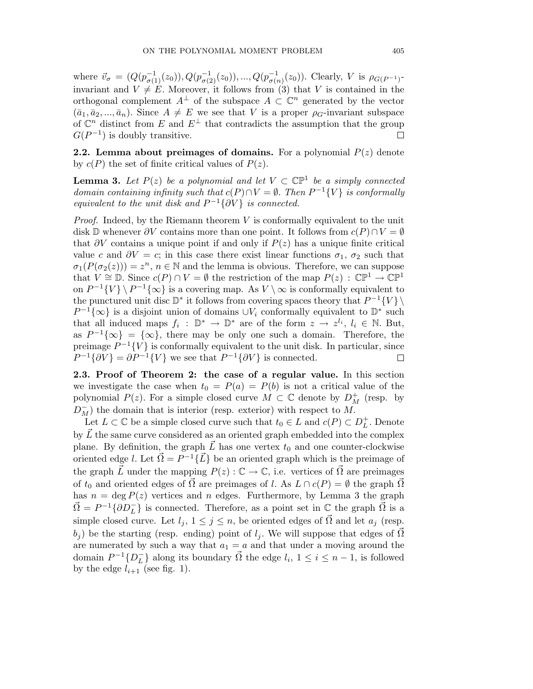where  $\vec{v}_{\sigma} = (Q(p_{\sigma(1)}^{-1}(z_0)), Q(p_{\sigma(2)}^{-1}(z_0)), ..., Q(p_{\sigma(n)}^{-1}(z_0)).$  Clearly, V is  $\rho_{G(P^{-1})}$ invariant and  $V \neq E$ . Moreover, it follows from (3) that *V* is contained in the orthogonal complement  $A^{\perp}$  of the subspace  $A \subset \mathbb{C}^n$  generated by the vector  $(\bar{a}_1, \bar{a}_2, \ldots, \bar{a}_n)$ . Since  $A \neq E$  we see that *V* is a proper  $\rho_G$ -invariant subspace of  $\mathbb{C}^n$  distinct from *E* and  $E^{\perp}$  that contradicts the assumption that the group  $G(P^{-1})$  is doubly transitive.  $\Box$ 

**2.2. Lemma about preimages of domains.** For a polynomial  $P(z)$  denote by  $c(P)$  the set of finite critical values of  $P(z)$ .

**Lemma 3.** Let  $P(z)$  be a polynomial and let  $V \subset \mathbb{CP}^1$  be a simply connected domain containing infinity such that  $c(P) \cap V = \emptyset$ . Then  $P^{-1}{V}$  is conformally equivalent to the unit disk and  $P^{-1}{\partial V}$  is connected.

Proof. Indeed, by the Riemann theorem *V* is conformally equivalent to the unit disk D whenever  $\partial V$  contains more than one point. It follows from  $c(P) \cap V = \emptyset$ that  $\partial V$  contains a unique point if and only if  $P(z)$  has a unique finite critical value *c* and  $\partial V = c$ ; in this case there exist linear functions  $\sigma_1$ ,  $\sigma_2$  such that  $\sigma_1(P(\sigma_2(z))) = z^n$ ,  $n \in \mathbb{N}$  and the lemma is obvious. Therefore, we can suppose that  $V \cong \mathbb{D}$ . Since  $c(P) \cap V = \emptyset$  the restriction of the map  $P(z) : \mathbb{C}\mathbb{P}^1 \to \mathbb{C}\mathbb{P}^1$ on  $P^{-1}{V} \ (P^{-1}{\infty})$  is a covering map. As  $V \ \infty$  is conformally equivalent to the punctured unit disc  $\mathbb{D}^*$  it follows from covering spaces theory that  $P^{-1}{V} \$  $P^{-1}\{\infty\}$  is a disjoint union of domains  $\cup V_i$  conformally equivalent to  $\mathbb{D}^*$  such that all induced maps  $f_i : \mathbb{D}^* \to \mathbb{D}^*$  are of the form  $z \to z^{l_i}, l_i \in \mathbb{N}$ . But, as  $P^{-1}{\lbrace \infty \rbrace} = {\lbrace \infty \rbrace}$ , there may be only one such a domain. Therefore, the preimage  $P^{-1}{V}$  is conformally equivalent to the unit disk. In particular, since  $P^{-1}{\partial V} = \partial P^{-1}{V}$  we see that  $P^{-1}{\partial V}$  is connected. 口

**2.3. Proof of Theorem 2: the case of a regular value.** In this section we investigate the case when  $t_0 = P(a) = P(b)$  is not a critical value of the polynomial  $P(z)$ . For a simple closed curve  $M \subset \mathbb{C}$  denote by  $D^+$  (resp. by  $D_M^-$ ) the domain that is interior (resp. exterior) with respect to *M*.

Let  $L \subset \mathbb{C}$  be a simple closed curve such that  $t_0 \in L$  and  $c(P) \subset D^+_L$ . Denote by *L'* the same curve considered as an oriented graph embedded into the complex plane. By definition, the graph  $\vec{L}$  has one vertex  $t_0$  and one counter-clockwise oriented edge *l*. Let  $\vec{\Omega} = P^{-1}\{\vec{L}\}\$  be an oriented graph which is the preimage of the graph  $\overline{L}$  under the mapping  $P(z): \mathbb{C} \to \mathbb{C}$ , i.e. vertices of  $\overline{\Omega}$  are preimages of  $t_0$  and oriented edges of  $\vec{\Omega}$  are preimages of *l.* As  $L \cap c(P) = \emptyset$  the graph  $\vec{\Omega}$ has  $n = \deg P(z)$  vertices and *n* edges. Furthermore, by Lemma 3 the graph  $\vec{\Omega} = P^{-1} \{ \partial D^-_L \}$  is connected. Therefore, as a point set in  $\mathbb C$  the graph  $\vec{\Omega}$  is a simple closed curve. Let  $l_j$ ,  $1 \leq j \leq n$ , be oriented edges of  $\vec{\Omega}$  and let  $a_j$  (resp.  $b_j$ ) be the starting (resp. ending) point of  $l_j$ . We will suppose that edges of  $\Omega$ are numerated by such a way that  $a_1 = a$  and that under a moving around the domain  $P^{-1}{D_{L}^{-}}$  } along its boundary  $\vec{\Omega}$  the edge  $l_i$ ,  $1 \leq i \leq n-1$ , is followed by the edge  $l_{i+1}$  (see fig. 1).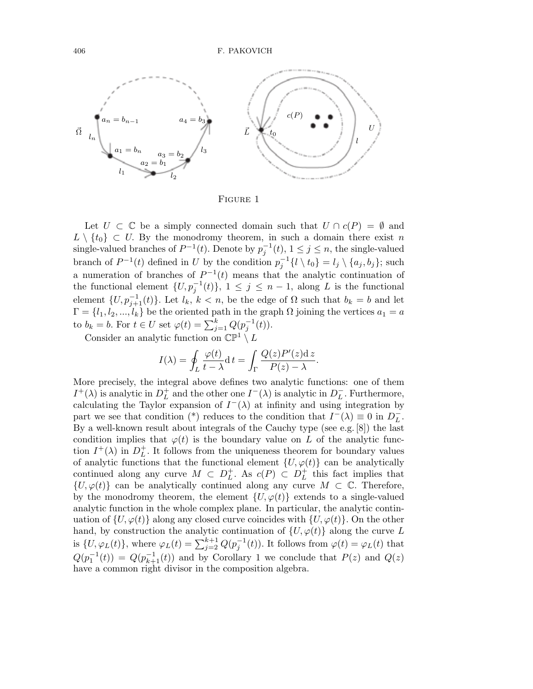

FIGURE 1

Let  $U \subset \mathbb{C}$  be a simply connected domain such that  $U \cap c(P) = \emptyset$  and  $L \setminus \{t_0\} \subset U$ . By the monodromy theorem, in such a domain there exist *n* single-valued branches of  $P^{-1}(t)$ . Denote by  $p_j^{-1}(t)$ ,  $1 \le j \le n$ , the single-valued branch of  $P^{-1}(t)$  defined in *U* by the condition  $p_j^{-1}\{l \setminus t_0\} = l_j \setminus \{a_j, b_j\}$ ; such a numeration of branches of  $P^{-1}(t)$  means that the analytic continuation of the functional element  $\{U, p_j^{-1}(t)\}, 1 \leq j \leq n-1$ , along *L* is the functional element  $\{U, p_{j+1}^{-1}(t)\}$ . Let  $l_k, k < n$ , be the edge of  $\Omega$  such that  $b_k = b$  and let  $\Gamma = \{l_1, l_2, ..., l_k\}$  be the oriented path in the graph  $\Omega$  joining the vertices  $a_1 = a$ to  $b_k = b$ . For  $t \in U$  set  $\varphi(t) = \sum_{j=1}^k Q(p_j^{-1}(t))$ .

Consider an analytic function on  $\mathbb{CP}^1 \setminus L$ 

$$
I(\lambda) = \oint_L \frac{\varphi(t)}{t - \lambda} \mathrm{d}t = \int_\Gamma \frac{Q(z)P'(z)\mathrm{d}z}{P(z) - \lambda}.
$$

More precisely, the integral above defines two analytic functions: one of them *I*<sup>+</sup>( $\lambda$ ) is analytic in  $D<sup>+</sup><sub>L</sub>$  and the other one *I*<sup>−</sup>( $\lambda$ ) is analytic in  $D<sup>-</sup><sub>L</sub>$ . Furthermore, calculating the Taylor expansion of  $I^{-}(\lambda)$  at infinity and using integration by part we see that condition (\*) reduces to the condition that  $I^{-}(\lambda) \equiv 0$  in  $D^{-}_{L}$ . By a well-known result about integrals of the Cauchy type (see e.g. [8]) the last condition implies that  $\varphi(t)$  is the boundary value on *L* of the analytic function  $I^+(\lambda)$  in  $D^+_L$ . It follows from the uniqueness theorem for boundary values of analytic functions that the functional element  $\{U, \varphi(t)\}$  can be analytically continued along any curve  $M \subset D_L^+$ . As  $c(P) \subset D_L^+$  this fact implies that  ${U, \varphi(t)}$  can be analytically continued along any curve  $M \subset \mathbb{C}$ . Therefore, by the monodromy theorem, the element  ${U, \varphi(t)}$  extends to a single-valued analytic function in the whole complex plane. In particular, the analytic continuation of  $\{U, \varphi(t)\}$  along any closed curve coincides with  $\{U, \varphi(t)\}$ . On the other hand, by construction the analytic continuation of  $\{U, \varphi(t)\}\$ along the curve *L* is  $\{U, \varphi_L(t)\}$ , where  $\varphi_L(t) = \sum_{j=2}^{k+1} Q(p_j^{-1}(t))$ . It follows from  $\varphi(t) = \varphi_L(t)$  that  $Q(p_1^{-1}(t)) = Q(p_{k+1}^{-1}(t))$  and by Corollary 1 we conclude that  $P(z)$  and  $Q(z)$ have a common right divisor in the composition algebra.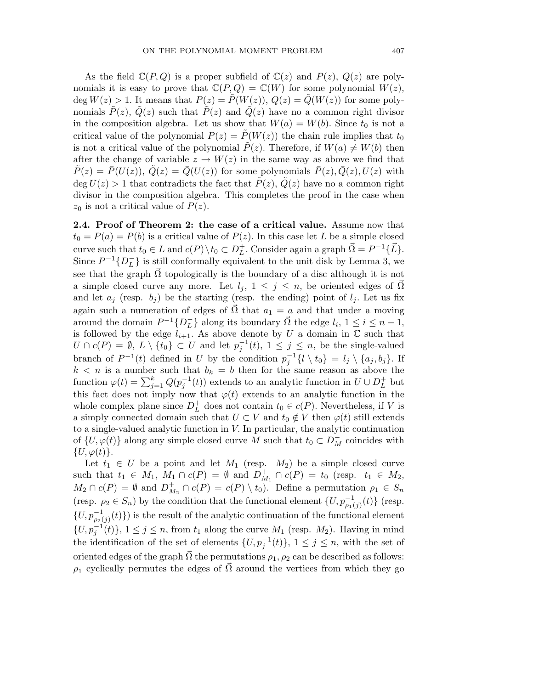As the field  $\mathbb{C}(P,Q)$  is a proper subfield of  $\mathbb{C}(z)$  and  $P(z)$ *,*  $Q(z)$  are polynomials it is easy to prove that  $\mathbb{C}(P,Q) = \mathbb{C}(W)$  for some polynomial  $W(z)$ ,  $\deg W(z) > 1$ . It means that  $P(z) = \tilde{P}(W(z)), Q(z) = \tilde{Q}(W(z))$  for some polynomials  $\hat{P}(z)$ ,  $\hat{Q}(z)$  such that  $\hat{P}(z)$  and  $\hat{Q}(z)$  have no a common right divisor in the composition algebra. Let us show that  $W(a) = W(b)$ . Since  $t_0$  is not a critical value of the polynomial  $P(z) = P(W(z))$  the chain rule implies that  $t_0$ is not a critical value of the polynomial  $P(z)$ . Therefore, if  $W(a) \neq W(b)$  then after the change of variable  $z \to W(z)$  in the same way as above we find that  $P(z) = \overline{P}(U(z)), Q(z) = \overline{Q}(U(z))$  for some polynomials  $\overline{P}(z), \overline{Q}(z), U(z)$  with  $\deg U(z) > 1$  that contradicts the fact that  $P(z)$ ,  $\hat{Q}(z)$  have no a common right divisor in the composition algebra. This completes the proof in the case when  $z_0$  is not a critical value of  $P(z)$ .

**2.4. Proof of Theorem 2: the case of a critical value.** Assume now that  $t_0 = P(a) = P(b)$  is a critical value of  $P(z)$ . In this case let *L* be a simple closed curve such that  $t_0 \in L$  and  $c(P) \setminus t_0 \subset D_L^+$ . Consider again a graph  $\vec{\Omega} = P^{-1}\{\vec{L}\}.$ Since  $P^{-1}\lbrace D_L^-\rbrace$  is still conformally equivalent to the unit disk by Lemma 3, we see that the graph  $\Omega$  topologically is the boundary of a disc although it is not a simple closed curve any more. Let  $l_j$ ,  $1 \leq j \leq n$ , be oriented edges of  $\Omega$ and let  $a_j$  (resp.  $b_j$ ) be the starting (resp. the ending) point of  $l_j$ . Let us fix again such a numeration of edges of  $\overrightarrow{\Omega}$  that  $a_1 = a$  and that under a moving around the domain  $P^{-1}\lbrace D^-_L \rbrace$  along its boundary  $\vec{\Omega}$  the edge  $l_i$ ,  $1 \leq i \leq n-1$ , is followed by the edge  $l_{i+1}$ . As above denote by U a domain in  $\mathbb C$  such that *U* ∩ *c*(*P*) = ∅*, L* \ {*t*<sub>0</sub>} ⊂ *U* and let  $p_j^{-1}(t)$ , 1 ≤ *j* ≤ *n*, be the single-valued branch of  $P^{-1}(t)$  defined in *U* by the condition  $p_j^{-1}\{l \setminus t_0\} = l_j \setminus \{a_j, b_j\}$ . If  $k < n$  is a number such that  $b_k = b$  then for the same reason as above the function  $\varphi(t) = \sum_{j=1}^{k} Q(p_j^{-1}(t))$  extends to an analytic function in  $U \cup D_L^+$  but this fact does not imply now that  $\varphi(t)$  extends to an analytic function in the whole complex plane since  $D<sub>L</sub><sup>+</sup>$  does not contain  $t_0 \in c(P)$ . Nevertheless, if *V* is a simply connected domain such that  $U \subset V$  and  $t_0 \notin V$  then  $\varphi(t)$  still extends to a single-valued analytic function in *V.* In particular, the analytic continuation of  $\{U, \varphi(t)\}$  along any simple closed curve *M* such that  $t_0 \subset D_M^-$  coincides with  $\{U, \varphi(t)\}.$ 

Let  $t_1 \in U$  be a point and let  $M_1$  (resp.  $M_2$ ) be a simple closed curve such that  $t_1 \in M_1$ ,  $M_1 \cap c(P) = \emptyset$  and  $D_{M_1}^+ \cap c(P) = t_0$  (resp.  $t_1 \in M_2$ ,  $M_2 \cap c(P) = \emptyset$  and  $D_{M_2}^+ \cap c(P) = c(P) \setminus t_0$ . Define a permutation  $\rho_1 \in S_n$ (resp.  $\rho_2 \in S_n$ ) by the condition that the functional element  $\{U, p_{\rho_1(j)}^{-1}(t)\}$  (resp.  ${U, p_{\rho_2(j)}^{-1}(t)}$  is the result of the analytic continuation of the functional element  $\{U, p_j^{-1}(t)\}, 1 \le j \le n$ , from  $t_1$  along the curve  $M_1$  (resp.  $M_2$ ). Having in mind the identification of the set of elements  $\{U, p_j^{-1}(t)\}, 1 \le j \le n$ , with the set of oriented edges of the graph  $\vec{\Omega}$  the permutations  $\rho_1, \rho_2$  can be described as follows:  $\rho_1$  cyclically permutes the edges of  $\Omega$  around the vertices from which they go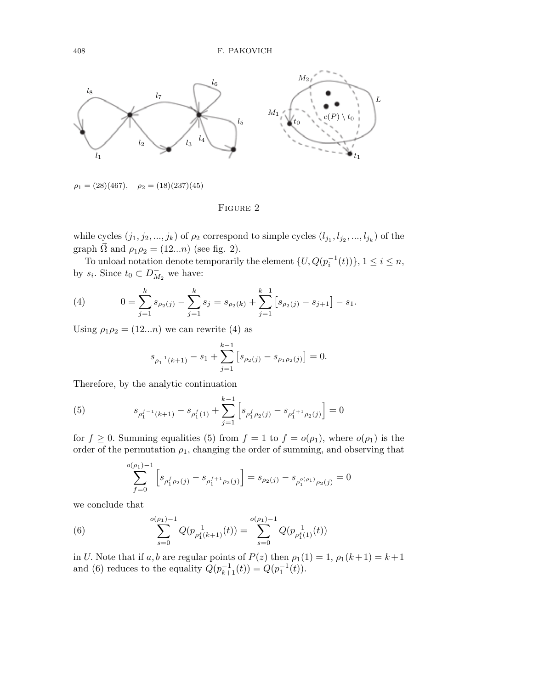

 $\rho_1 = (28)(467), \quad \rho_2 = (18)(237)(45)$ 

FIGURE 2

while cycles  $(j_1, j_2, ..., j_k)$  of  $\rho_2$  correspond to simple cycles  $(l_{j_1}, l_{j_2}, ..., l_{j_k})$  of the graph  $\overrightarrow{\Omega}$  and  $\rho_1 \rho_2 = (12...n)$  (see fig. 2).

To unload notation denote temporarily the element  $\{U, Q(p_i^{-1}(t))\}, 1 \le i \le n$ , by  $s_i$ . Since  $t_0 \subset D_{M_2}^-$  we have:

(4) 
$$
0 = \sum_{j=1}^{k} s_{\rho_2(j)} - \sum_{j=1}^{k} s_j = s_{\rho_2(k)} + \sum_{j=1}^{k-1} \left[ s_{\rho_2(j)} - s_{j+1} \right] - s_1.
$$

Using  $\rho_1 \rho_2 = (12...n)$  we can rewrite (4) as

$$
s_{\rho_1^{-1}(k+1)} - s_1 + \sum_{j=1}^{k-1} \left[ s_{\rho_2(j)} - s_{\rho_1 \rho_2(j)} \right] = 0.
$$

Therefore, by the analytic continuation

(5) 
$$
s_{\rho_1^{f-1}(k+1)} - s_{\rho_1^f(1)} + \sum_{j=1}^{k-1} \left[ s_{\rho_1^f \rho_2(j)} - s_{\rho_1^{f+1} \rho_2(j)} \right] = 0
$$

for  $f \geq 0$ . Summing equalities (5) from  $f = 1$  to  $f = o(\rho_1)$ , where  $o(\rho_1)$  is the order of the permutation  $\rho_1$ , changing the order of summing, and observing that

$$
\sum_{f=0}^{o(\rho_1)-1} \left[ s_{\rho_1^f \rho_2(j)} - s_{\rho_1^{f+1} \rho_2(j)} \right] = s_{\rho_2(j)} - s_{\rho_1^{o(\rho_1)} \rho_2(j)} = 0
$$

we conclude that

(6) 
$$
\sum_{s=0}^{o(\rho_1)-1} Q(p_{\rho_1^s(k+1)}^{-1}(t)) = \sum_{s=0}^{o(\rho_1)-1} Q(p_{\rho_1^s(1)}^{-1}(t))
$$

in *U*. Note that if  $a, b$  are regular points of  $P(z)$  then  $\rho_1(1) = 1$ ,  $\rho_1(k+1) = k+1$ and (6) reduces to the equality  $Q(p_{k+1}^{-1}(t)) = Q(p_1^{-1}(t)).$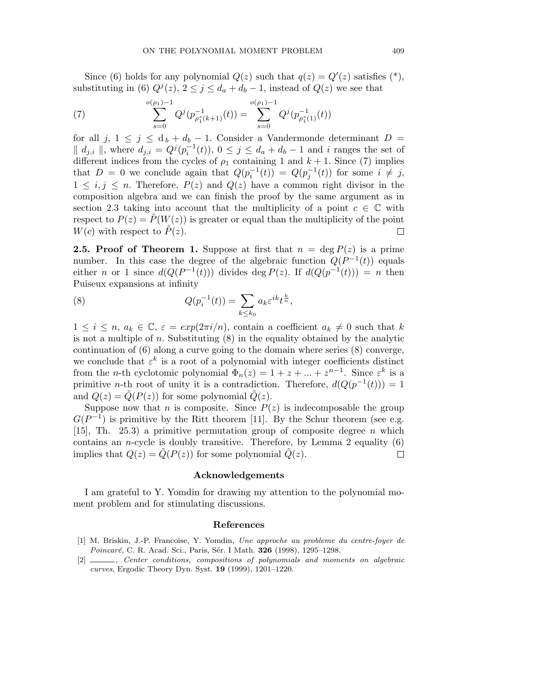Since (6) holds for any polynomial  $Q(z)$  such that  $q(z) = Q'(z)$  satisfies (\*), substituting in (6)  $Q^j(z)$ ,  $2 \leq j \leq d_a + d_b - 1$ , instead of  $Q(z)$  we see that

(7) 
$$
\sum_{s=0}^{o(\rho_1)-1} Q^j(p_{\rho_1^s(k+1)}^{-1}(t)) = \sum_{s=0}^{o(\rho_1)-1} Q^j(p_{\rho_1^s(1)}^{-1}(t))
$$

for all  $j, 1 \leq j \leq d_b + d_b - 1$ . Consider a Vandermonde determinant  $D =$  $|| d_{j,i} ||$ , where  $d_{j,i} = Q^j(p_i^{-1}(t)), 0 \leq j \leq d_a + d_b - 1$  and *i* ranges the set of different indices from the cycles of  $\rho_1$  containing 1 and  $k + 1$ . Since (7) implies that  $D = 0$  we conclude again that  $Q(p_i^{-1}(t)) = Q(p_j^{-1}(t))$  for some  $i \neq j$ ,  $1 \leq i, j \leq n$ . Therefore,  $P(z)$  and  $Q(z)$  have a common right divisor in the composition algebra and we can finish the proof by the same argument as in section 2.3 taking into account that the multiplicity of a point  $c \in \mathbb{C}$  with respect to  $P(z) = P(W(z))$  is greater or equal than the multiplicity of the point *W*(*c*) with respect to  $\tilde{P}(z)$ . П

**2.5. Proof of Theorem 1.** Suppose at first that  $n = \deg P(z)$  is a prime number. In this case the degree of the algebraic function  $Q(P^{-1}(t))$  equals either *n* or 1 since  $d(Q(P^{-1}(t)))$  divides deg  $P(z)$ . If  $d(Q(p^{-1}(t))) = n$  then Puiseux expansions at infinity

(8) 
$$
Q(p_i^{-1}(t)) = \sum_{k \le k_0} a_k \varepsilon^{ik} t^{\frac{k}{n}},
$$

 $1 \leq i \leq n, a_k \in \mathbb{C}, \varepsilon = exp(2\pi i/n),$  contain a coefficient  $a_k \neq 0$  such that k is not a multiple of *n.* Substituting (8) in the equality obtained by the analytic continuation of  $(6)$  along a curve going to the domain where series  $(8)$  converge, we conclude that  $\varepsilon^k$  is a root of a polynomial with integer coefficients distinct from the *n*-th cyclotomic polynomial  $\Phi_n(z) = 1 + z + ... + z^{n-1}$ . Since  $\varepsilon^k$  is a primitive *n*-th root of unity it is a contradiction. Therefore,  $d(Q(p^{-1}(t))) = 1$ and  $Q(z) = Q(P(z))$  for some polynomial  $Q(z)$ .

Suppose now that *n* is composite. Since  $P(z)$  is indecomposable the group  $G(P^{-1})$  is primitive by the Ritt theorem [11]. By the Schur theorem (see e.g. [15], Th. 25.3) a primitive permutation group of composite degree *n* which contains an *n*-cycle is doubly transitive. Therefore, by Lemma 2 equality  $(6)$ implies that  $Q(z) = Q(P(z))$  for some polynomial  $\tilde{Q}(z)$ .  $\Box$ 

## **Acknowledgements**

I am grateful to Y. Yomdin for drawing my attention to the polynomial moment problem and for stimulating discussions.

### **References**

- [1] M. Briskin, J.-P. Francoise, Y. Yomdin, *Une approche au probleme du centre-foyer de Poincar´e,* C. R. Acad. Sci., Paris, S´er. I Math. **326** (1998), 1295–1298.
- [2] , *Center conditions,compositions of polynomials and moments on algebraic curves*, Ergodic Theory Dyn. Syst. **19** (1999), 1201–1220.